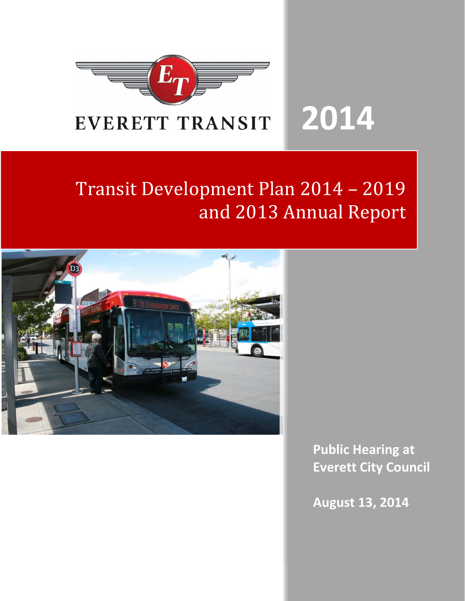

# Transit Development Plan 2014 - 2019 and 2013 Annual Report



**Public Hearing at Everett City Council**

**August 13, 2014**

**2014**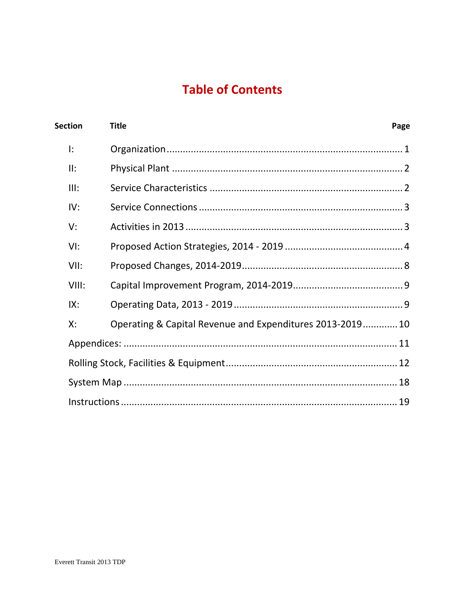## **Table of Contents**

| <b>Section</b> | <b>Title</b>                                             | Page |
|----------------|----------------------------------------------------------|------|
| I:             |                                                          |      |
| II:            |                                                          |      |
| III:           |                                                          |      |
| IV:            |                                                          |      |
| V:             |                                                          |      |
| VI:            |                                                          |      |
| VII:           |                                                          |      |
| VIII:          |                                                          |      |
| IX:            |                                                          |      |
| Х:             | Operating & Capital Revenue and Expenditures 2013-201910 |      |
|                |                                                          |      |
|                |                                                          |      |
|                |                                                          |      |
|                |                                                          |      |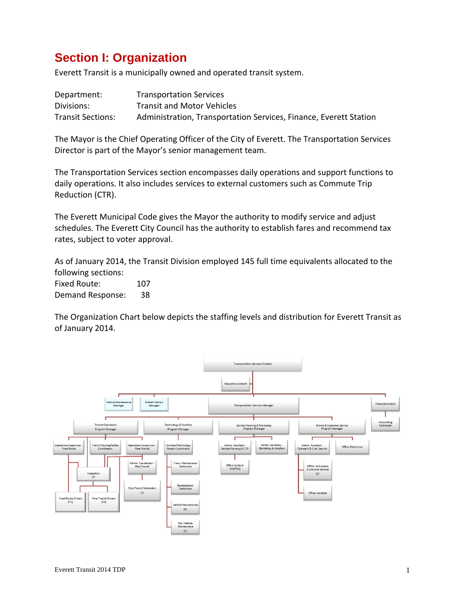## **Section I: Organization**

Everett Transit is a municipally owned and operated transit system.

| Department:              | <b>Transportation Services</b>                                    |
|--------------------------|-------------------------------------------------------------------|
| Divisions:               | <b>Transit and Motor Vehicles</b>                                 |
| <b>Transit Sections:</b> | Administration, Transportation Services, Finance, Everett Station |

The Mayor is the Chief Operating Officer of the City of Everett. The Transportation Services Director is part of the Mayor's senior management team.

The Transportation Services section encompasses daily operations and support functions to daily operations. It also includes services to external customers such as Commute Trip Reduction (CTR).

The Everett Municipal Code gives the Mayor the authority to modify service and adjust schedules. The Everett City Council has the authority to establish fares and recommend tax rates, subject to voter approval.

As of January 2014, the Transit Division employed 145 full time equivalents allocated to the following sections:

Fixed Route: 107 Demand Response: 38

The Organization Chart below depicts the staffing levels and distribution for Everett Transit as of January 2014.

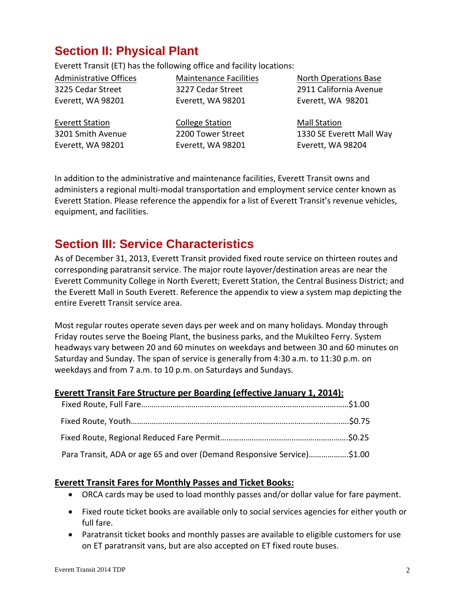## **Section II: Physical Plant**

Everett Transit (ET) has the following office and facility locations:

Administrative Offices 3225 Cedar Street Everett, WA 98201

Everett Station

Maintenance Facilities 3227 Cedar Street Everett, WA 98201

3201 Smith Avenue Everett, WA 98201

College Station 2200 Tower Street Everett, WA 98201 North Operations Base 2911 California Avenue Everett, WA 98201

Mall Station 1330 SE Everett Mall Way Everett, WA 98204

In addition to the administrative and maintenance facilities, Everett Transit owns and administers a regional multi‐modal transportation and employment service center known as Everett Station. Please reference the appendix for a list of Everett Transit's revenue vehicles, equipment, and facilities.

## **Section III: Service Characteristics**

As of December 31, 2013, Everett Transit provided fixed route service on thirteen routes and corresponding paratransit service. The major route layover/destination areas are near the Everett Community College in North Everett; Everett Station, the Central Business District; and the Everett Mall in South Everett. Reference the appendix to view a system map depicting the entire Everett Transit service area.

Most regular routes operate seven days per week and on many holidays*.* Monday through Friday routes serve the Boeing Plant, the business parks, and the Mukilteo Ferry. System headways vary between 20 and 60 minutes on weekdays and between 30 and 60 minutes on Saturday and Sunday. The span of service is generally from 4:30 a.m. to 11:30 p.m. on weekdays and from 7 a.m. to 10 p.m. on Saturdays and Sundays.

### **Everett Transit Fare Structure per Boarding (effective January 1, 2014):**

| Para Transit, ADA or age 65 and over (Demand Responsive Service)\$1.00 |  |
|------------------------------------------------------------------------|--|

### **Everett Transit Fares for Monthly Passes and Ticket Books:**

- ORCA cards may be used to load monthly passes and/or dollar value for fare payment.
- Fixed route ticket books are available only to social services agencies for either youth or full fare.
- Paratransit ticket books and monthly passes are available to eligible customers for use on ET paratransit vans, but are also accepted on ET fixed route buses.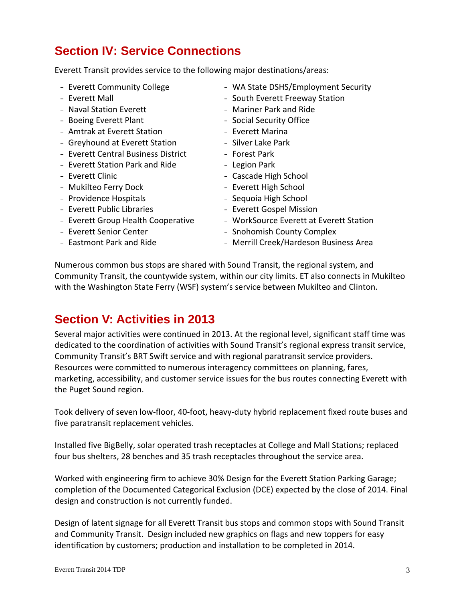## **Section IV: Service Connections**

Everett Transit provides service to the following major destinations/areas:

- <sup>−</sup> Everett Community College
- <sup>−</sup> Everett Mall
- <sup>−</sup> Naval Station Everett
- <sup>−</sup> Boeing Everett Plant
- <sup>−</sup> Amtrak at Everett Station
- <sup>−</sup> Greyhound at Everett Station
- <sup>−</sup> Everett Central Business District
- <sup>−</sup> Everett Station Park and Ride
- <sup>−</sup> Everett Clinic
- <sup>−</sup> Mukilteo Ferry Dock
- <sup>−</sup> Providence Hospitals
- <sup>−</sup> Everett Public Libraries
- <sup>−</sup> Everett Group Health Cooperative
- <sup>−</sup> Everett Senior Center
- <sup>−</sup> Eastmont Park and Ride
- <sup>−</sup> WA State DSHS/Employment Security
- <sup>−</sup> South Everett Freeway Station
- <sup>−</sup> Mariner Park and Ride
- <sup>−</sup> Social Security Office
- <sup>−</sup> Everett Marina
- <sup>−</sup> Silver Lake Park
- <sup>−</sup> Forest Park
- <sup>−</sup> Legion Park
- <sup>−</sup> Cascade High School
- <sup>−</sup> Everett High School
- <sup>−</sup> Sequoia High School
- <sup>−</sup> Everett Gospel Mission
- <sup>−</sup> WorkSource Everett at Everett Station
- <sup>−</sup> Snohomish County Complex
- <sup>−</sup> Merrill Creek/Hardeson Business Area

Numerous common bus stops are shared with Sound Transit, the regional system, and Community Transit, the countywide system, within our city limits. ET also connects in Mukilteo with the Washington State Ferry (WSF) system's service between Mukilteo and Clinton.

### **Section V: Activities in 2013**

Several major activities were continued in 2013. At the regional level, significant staff time was dedicated to the coordination of activities with Sound Transit's regional express transit service, Community Transit's BRT Swift service and with regional paratransit service providers. Resources were committed to numerous interagency committees on planning, fares, marketing, accessibility, and customer service issues for the bus routes connecting Everett with the Puget Sound region.

Took delivery of seven low‐floor, 40‐foot, heavy‐duty hybrid replacement fixed route buses and five paratransit replacement vehicles.

Installed five BigBelly, solar operated trash receptacles at College and Mall Stations; replaced four bus shelters, 28 benches and 35 trash receptacles throughout the service area.

Worked with engineering firm to achieve 30% Design for the Everett Station Parking Garage; completion of the Documented Categorical Exclusion (DCE) expected by the close of 2014. Final design and construction is not currently funded.

Design of latent signage for all Everett Transit bus stops and common stops with Sound Transit and Community Transit. Design included new graphics on flags and new toppers for easy identification by customers; production and installation to be completed in 2014.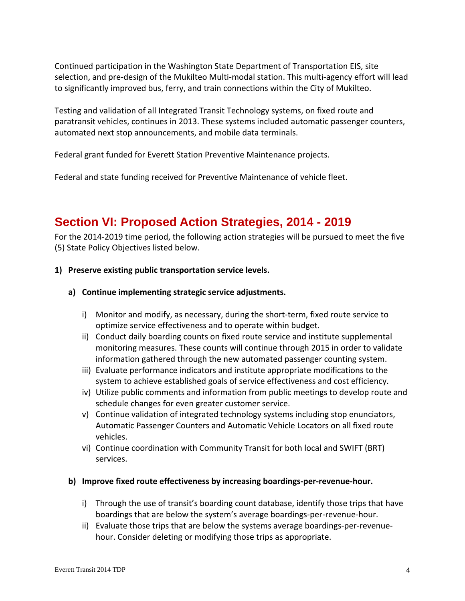Continued participation in the Washington State Department of Transportation EIS, site selection, and pre-design of the Mukilteo Multi-modal station. This multi-agency effort will lead to significantly improved bus, ferry, and train connections within the City of Mukilteo.

Testing and validation of all Integrated Transit Technology systems, on fixed route and paratransit vehicles, continues in 2013. These systems included automatic passenger counters, automated next stop announcements, and mobile data terminals.

Federal grant funded for Everett Station Preventive Maintenance projects.

Federal and state funding received for Preventive Maintenance of vehicle fleet.

### **Section VI: Proposed Action Strategies, 2014 - 2019**

For the 2014‐2019 time period, the following action strategies will be pursued to meet the five (5) State Policy Objectives listed below.

#### **1) Preserve existing public transportation service levels.**

- **a) Continue implementing strategic service adjustments.**
	- i) Monitor and modify, as necessary, during the short‐term, fixed route service to optimize service effectiveness and to operate within budget.
	- ii) Conduct daily boarding counts on fixed route service and institute supplemental monitoring measures. These counts will continue through 2015 in order to validate information gathered through the new automated passenger counting system.
	- iii) Evaluate performance indicators and institute appropriate modifications to the system to achieve established goals of service effectiveness and cost efficiency.
	- iv) Utilize public comments and information from public meetings to develop route and schedule changes for even greater customer service.
	- v) Continue validation of integrated technology systems including stop enunciators, Automatic Passenger Counters and Automatic Vehicle Locators on all fixed route vehicles.
	- vi) Continue coordination with Community Transit for both local and SWIFT (BRT) services.
- **b) Improve fixed route effectiveness by increasing boardings‐per‐revenue‐hour.**
	- i) Through the use of transit's boarding count database, identify those trips that have boardings that are below the system's average boardings‐per‐revenue‐hour.
	- ii) Evaluate those trips that are below the systems average boardings-per-revenuehour. Consider deleting or modifying those trips as appropriate.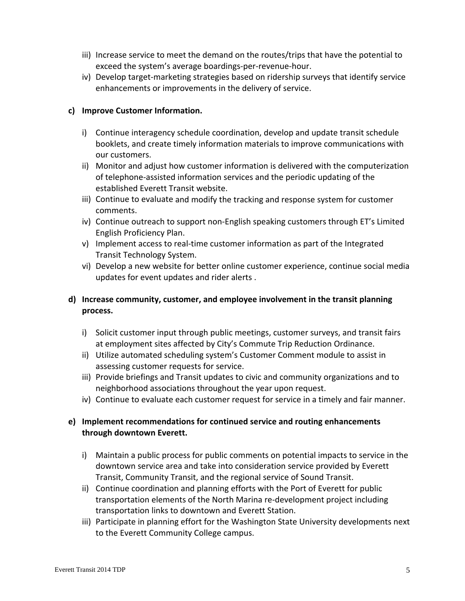- iii) Increase service to meet the demand on the routes/trips that have the potential to exceed the system's average boardings‐per‐revenue‐hour.
- iv) Develop target-marketing strategies based on ridership surveys that identify service enhancements or improvements in the delivery of service.

#### **c) Improve Customer Information.**

- i) Continue interagency schedule coordination, develop and update transit schedule booklets, and create timely information materials to improve communications with our customers.
- ii) Monitor and adjust how customer information is delivered with the computerization of telephone‐assisted information services and the periodic updating of the established Everett Transit website.
- iii) Continue to evaluate and modify the tracking and response system for customer comments.
- iv) Continue outreach to support non‐English speaking customers through ET's Limited English Proficiency Plan.
- v) Implement access to real‐time customer information as part of the Integrated Transit Technology System.
- vi) Develop a new website for better online customer experience, continue social media updates for event updates and rider alerts .

### **d) Increase community, customer, and employee involvement in the transit planning process.**

- i) Solicit customer input through public meetings, customer surveys, and transit fairs at employment sites affected by City's Commute Trip Reduction Ordinance.
- ii) Utilize automated scheduling system's Customer Comment module to assist in assessing customer requests for service.
- iii) Provide briefings and Transit updates to civic and community organizations and to neighborhood associations throughout the year upon request.
- iv) Continue to evaluate each customer request for service in a timely and fair manner.

### **e) Implement recommendations for continued service and routing enhancements through downtown Everett.**

- i) Maintain a public process for public comments on potential impacts to service in the downtown service area and take into consideration service provided by Everett Transit, Community Transit, and the regional service of Sound Transit.
- ii) Continue coordination and planning efforts with the Port of Everett for public transportation elements of the North Marina re‐development project including transportation links to downtown and Everett Station.
- iii) Participate in planning effort for the Washington State University developments next to the Everett Community College campus.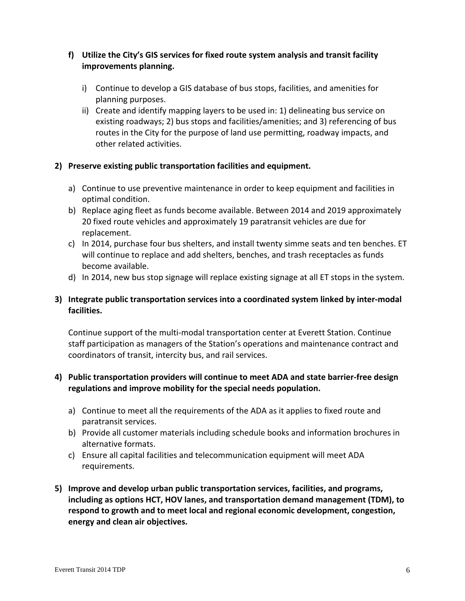#### **f) Utilize the City's GIS services for fixed route system analysis and transit facility improvements planning.**

- i) Continue to develop a GIS database of bus stops, facilities, and amenities for planning purposes.
- ii) Create and identify mapping layers to be used in: 1) delineating bus service on existing roadways; 2) bus stops and facilities/amenities; and 3) referencing of bus routes in the City for the purpose of land use permitting, roadway impacts, and other related activities.

#### **2) Preserve existing public transportation facilities and equipment.**

- a) Continue to use preventive maintenance in order to keep equipment and facilities in optimal condition.
- b) Replace aging fleet as funds become available. Between 2014 and 2019 approximately 20 fixed route vehicles and approximately 19 paratransit vehicles are due for replacement.
- c) In 2014, purchase four bus shelters, and install twenty simme seats and ten benches. ET will continue to replace and add shelters, benches, and trash receptacles as funds become available.
- d) In 2014, new bus stop signage will replace existing signage at all ET stops in the system.

### **3) Integrate public transportation services into a coordinated system linked by inter‐modal facilities.**

Continue support of the multi‐modal transportation center at Everett Station. Continue staff participation as managers of the Station's operations and maintenance contract and coordinators of transit, intercity bus, and rail services.

### **4) Public transportation providers will continue to meet ADA and state barrier‐free design regulations and improve mobility for the special needs population.**

- a) Continue to meet all the requirements of the ADA as it applies to fixed route and paratransit services.
- b) Provide all customer materials including schedule books and information brochures in alternative formats.
- c) Ensure all capital facilities and telecommunication equipment will meet ADA requirements.
- **5) Improve and develop urban public transportation services, facilities, and programs, including as options HCT, HOV lanes, and transportation demand management (TDM), to respond to growth and to meet local and regional economic development, congestion, energy and clean air objectives.**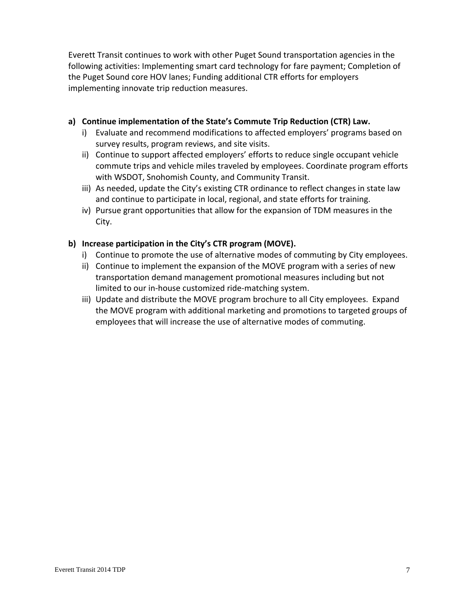Everett Transit continues to work with other Puget Sound transportation agencies in the following activities: Implementing smart card technology for fare payment; Completion of the Puget Sound core HOV lanes; Funding additional CTR efforts for employers implementing innovate trip reduction measures.

#### **a) Continue implementation of the State's Commute Trip Reduction (CTR) Law.**

- i) Evaluate and recommend modifications to affected employers' programs based on survey results, program reviews, and site visits.
- ii) Continue to support affected employers' efforts to reduce single occupant vehicle commute trips and vehicle miles traveled by employees. Coordinate program efforts with WSDOT, Snohomish County, and Community Transit.
- iii) As needed, update the City's existing CTR ordinance to reflect changes in state law and continue to participate in local, regional, and state efforts for training.
- iv) Pursue grant opportunities that allow for the expansion of TDM measures in the City.

### **b) Increase participation in the City's CTR program (MOVE).**

- i) Continue to promote the use of alternative modes of commuting by City employees.
- ii) Continue to implement the expansion of the MOVE program with a series of new transportation demand management promotional measures including but not limited to our in‐house customized ride‐matching system.
- iii) Update and distribute the MOVE program brochure to all City employees. Expand the MOVE program with additional marketing and promotions to targeted groups of employees that will increase the use of alternative modes of commuting.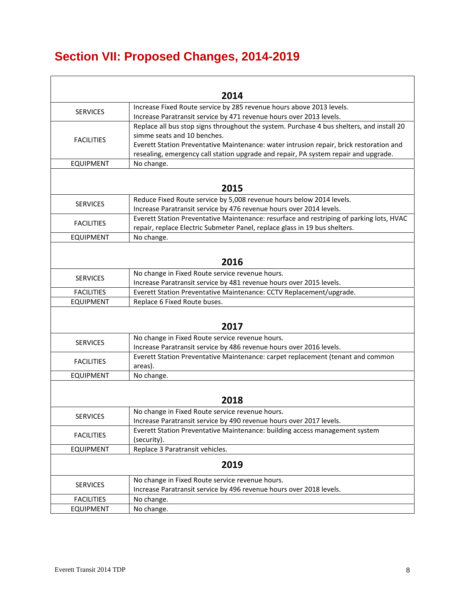# **Section VII: Proposed Changes, 2014-2019**

|                   | 2014                                                                                      |
|-------------------|-------------------------------------------------------------------------------------------|
|                   | Increase Fixed Route service by 285 revenue hours above 2013 levels.                      |
| <b>SERVICES</b>   | Increase Paratransit service by 471 revenue hours over 2013 levels.                       |
|                   | Replace all bus stop signs throughout the system. Purchase 4 bus shelters, and install 20 |
|                   | simme seats and 10 benches.                                                               |
| <b>FACILITIES</b> | Everett Station Preventative Maintenance: water intrusion repair, brick restoration and   |
|                   | resealing, emergency call station upgrade and repair, PA system repair and upgrade.       |
| <b>EQUIPMENT</b>  | No change.                                                                                |
|                   |                                                                                           |
|                   | 2015                                                                                      |
| <b>SERVICES</b>   | Reduce Fixed Route service by 5,008 revenue hours below 2014 levels.                      |
|                   | Increase Paratransit service by 476 revenue hours over 2014 levels.                       |
| <b>FACILITIES</b> | Everett Station Preventative Maintenance: resurface and restriping of parking lots, HVAC  |
|                   | repair, replace Electric Submeter Panel, replace glass in 19 bus shelters.                |
| <b>EQUIPMENT</b>  | No change.                                                                                |
|                   |                                                                                           |
|                   | 2016                                                                                      |
| <b>SERVICES</b>   | No change in Fixed Route service revenue hours.                                           |
|                   | Increase Paratransit service by 481 revenue hours over 2015 levels.                       |
| <b>FACILITIES</b> | Everett Station Preventative Maintenance: CCTV Replacement/upgrade.                       |
| <b>EQUIPMENT</b>  | Replace 6 Fixed Route buses.                                                              |
|                   |                                                                                           |
|                   | 2017                                                                                      |
| <b>SERVICES</b>   | No change in Fixed Route service revenue hours.                                           |
|                   | Increase Paratransit service by 486 revenue hours over 2016 levels.                       |
| <b>FACILITIES</b> | Everett Station Preventative Maintenance: carpet replacement (tenant and common           |
|                   | areas).                                                                                   |
| <b>EQUIPMENT</b>  | No change.                                                                                |
|                   |                                                                                           |
|                   | 2018                                                                                      |
| <b>SERVICES</b>   | No change in Fixed Route service revenue hours.                                           |
|                   | Increase Paratransit service by 490 revenue hours over 2017 levels.                       |
| <b>FACILITIES</b> | Everett Station Preventative Maintenance: building access management system               |
|                   | (security).                                                                               |
| <b>EQUIPMENT</b>  | Replace 3 Paratransit vehicles.                                                           |
|                   | 2019                                                                                      |
|                   | No change in Fixed Route service revenue hours.                                           |
| <b>SERVICES</b>   | Increase Paratransit service by 496 revenue hours over 2018 levels.                       |
| <b>FACILITIES</b> | No change.                                                                                |
| <b>EQUIPMENT</b>  | No change.                                                                                |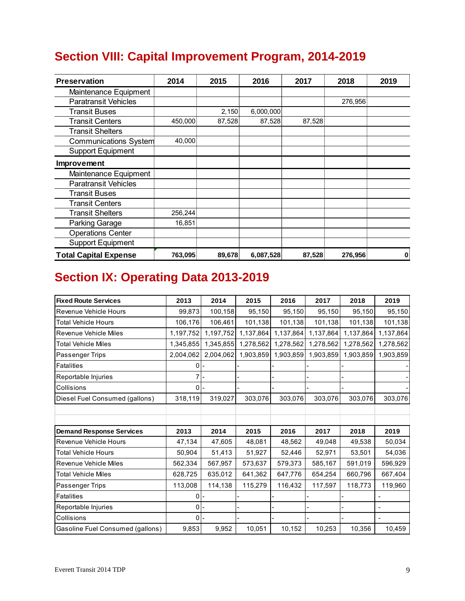# **Section VIII: Capital Improvement Program, 2014-2019**

| <b>Preservation</b>          | 2014    | 2015   | 2016      | 2017   | 2018    | 2019 |
|------------------------------|---------|--------|-----------|--------|---------|------|
| Maintenance Equipment        |         |        |           |        |         |      |
| <b>Paratransit Vehicles</b>  |         |        |           |        | 276,956 |      |
| <b>Transit Buses</b>         |         | 2,150  | 6,000,000 |        |         |      |
| <b>Transit Centers</b>       | 450,000 | 87,528 | 87,528    | 87,528 |         |      |
| <b>Transit Shelters</b>      |         |        |           |        |         |      |
| Communications System        | 40,000  |        |           |        |         |      |
| <b>Support Equipment</b>     |         |        |           |        |         |      |
| Improvement                  |         |        |           |        |         |      |
| Maintenance Equipment        |         |        |           |        |         |      |
| <b>Paratransit Vehicles</b>  |         |        |           |        |         |      |
| <b>Transit Buses</b>         |         |        |           |        |         |      |
| <b>Transit Centers</b>       |         |        |           |        |         |      |
| <b>Transit Shelters</b>      | 256,244 |        |           |        |         |      |
| Parking Garage               | 16,851  |        |           |        |         |      |
| <b>Operations Center</b>     |         |        |           |        |         |      |
| <b>Support Equipment</b>     |         |        |           |        |         |      |
| <b>Total Capital Expense</b> | 763,095 | 89,678 | 6,087,528 | 87,528 | 276,956 | 0    |

# **Section IX: Operating Data 2013-2019**

| <b>Fixed Route Services</b>      | 2013      | 2014      | 2015      | 2016      | 2017      | 2018      | 2019                     |
|----------------------------------|-----------|-----------|-----------|-----------|-----------|-----------|--------------------------|
| Revenue Vehicle Hours            | 99,873    | 100,158   | 95,150    | 95,150    | 95,150    | 95,150    | 95,150                   |
| <b>Total Vehicle Hours</b>       | 106,176   | 106,461   | 101,138   | 101,138   | 101,138   | 101,138   | 101,138                  |
| <b>Revenue Vehicle Miles</b>     | 1,197,752 | 1,197,752 | 1,137,864 | 1,137,864 | 1,137,864 | 1,137,864 | 1,137,864                |
| <b>Total Vehicle Miles</b>       | 1,345,855 | 1,345,855 | 1,278,562 | 1,278,562 | 1,278,562 | 1,278,562 | 1,278,562                |
| Passenger Trips                  | 2,004,062 | 2,004,062 | 1,903,859 | 1,903,859 | 1,903,859 | 1,903,859 | 1,903,859                |
| <b>Fatalities</b>                | 0         |           |           |           |           |           |                          |
| Reportable Injuries              |           |           |           |           |           |           |                          |
| Collisions                       | $\Omega$  |           |           |           |           |           |                          |
| Diesel Fuel Consumed (gallons)   | 318,119   | 319,027   | 303,076   | 303,076   | 303,076   | 303,076   | 303,076                  |
|                                  |           |           |           |           |           |           |                          |
|                                  |           |           |           |           |           |           |                          |
| <b>Demand Response Services</b>  | 2013      | 2014      | 2015      | 2016      | 2017      | 2018      | 2019                     |
| Revenue Vehicle Hours            | 47,134    | 47,605    | 48,081    | 48,562    | 49,048    | 49,538    | 50,034                   |
| <b>Total Vehicle Hours</b>       | 50,904    | 51,413    | 51,927    | 52,446    | 52,971    | 53,501    | 54,036                   |
| <b>Revenue Vehicle Miles</b>     | 562,334   | 567,957   | 573,637   | 579,373   | 585,167   | 591,019   | 596,929                  |
| <b>Total Vehicle Miles</b>       | 628,725   | 635,012   | 641,362   | 647,776   | 654,254   | 660,796   | 667,404                  |
| Passenger Trips                  | 113,008   | 114,138   | 115,279   | 116,432   | 117,597   | 118,773   | 119,960                  |
| <b>Fatalities</b>                | $\Omega$  |           |           |           |           |           |                          |
| Reportable Injuries              | 0         |           |           |           |           |           | $\overline{\phantom{0}}$ |
| Collisions                       | $0 -$     |           |           |           |           |           |                          |
| Gasoline Fuel Consumed (gallons) | 9,853     | 9,952     | 10,051    | 10,152    | 10,253    | 10,356    | 10,459                   |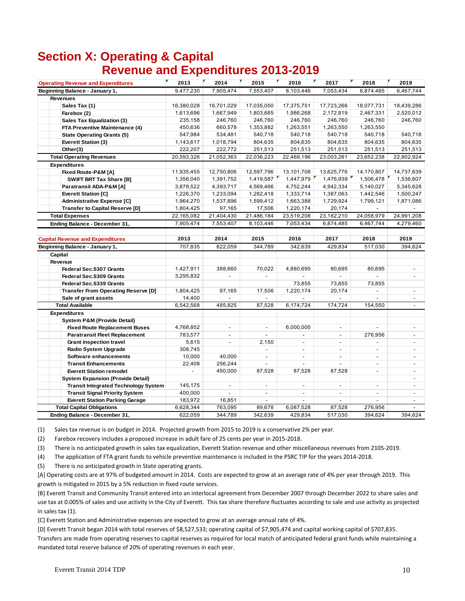## **Section X: Operating & Capital Revenue and Expenditures 2013-2019**

| <b>Operating Revenue and Expenditures</b>   | 2013           | 2014                     | 2015                     | 2016                     | 2017                     | 2018                     | 2019                     |
|---------------------------------------------|----------------|--------------------------|--------------------------|--------------------------|--------------------------|--------------------------|--------------------------|
| Beginning Balance - January 1,              | 9,477,230      | 7,905,474                | 7,553,407                | 8,103,446                | 7,053,434                | 6,874,485                | 6,467,744                |
| <b>Revenues</b>                             |                |                          |                          |                          |                          |                          |                          |
| Sales Tax (1)                               | 16,380,028     | 16,701,029               | 17,035,050               | 17,375,751               | 17,723,266               | 18,077,731               | 18,439,286               |
| Farebox (2)                                 | 1,613,696      | 1,667,949                | 1,803,665                | 1,986,268                | 2,172,819                | 2,467,331                | 2,520,012                |
| Sales Tax Equalization (3)                  | 235,158        | 246,760                  | 246,760                  | 246,760                  | 246,760                  | 246,760                  | 246,760                  |
| FTA Preventive Maintenance (4)              | 450,636        | 660,578                  | 1,353,882                | 1,263,551                | 1,263,550                | 1,263,550                |                          |
| <b>State Operating Grants (5)</b>           | 547,984        | 534,481                  | 540,718                  | 540,718                  | 540,718                  | 540,718                  | 540,718                  |
| Everett Station (3)                         | 1,143,617      | 1,018,794                | 804,635                  | 804,635                  | 804,635                  | 804,635                  | 804,635                  |
| Other(3)                                    | 222,207        | 222,772                  | 251,513                  | 251,513                  | 251,513                  | 251,513                  | 251,513                  |
| <b>Total Operating Revenues</b>             | 20,593,326     | 21,052,363               | 22,036,223               | 22,469,196               | 23,003,261               | 23,652,238               | 22,802,924               |
| <b>Expenditures</b>                         |                |                          |                          |                          |                          |                          |                          |
| Fixed Route-P&M [A]                         | 11,935,455     | 12,750,806               | 12,597,796               | 13,101,708               | 13,625,776               | 14,170,807               | 14,737,639               |
| <b>SWIFT BRT Tax Share [B]</b>              | 1,356,040      | 1,391,752                | 1,419,587                | 1,447,979                | 1,476,939                | 1,506,478                | 1,536,607                |
| Paratransit ADA-P&M [A]                     | 3,878,522      | 4,393,717                | 4,569,466                | 4,752,244                | 4,942,334                | 5,140,027                | 5,345,628                |
| <b>Everett Station [C]</b>                  | 1,226,370      | 1,233,094                | 1,282,418                | 1,333,714                | 1,387,063                | 1,442,546                | 1,500,247                |
| <b>Administrative Expense [C]</b>           | 1,964,270      | 1,537,896                | 1,599,412                | 1,663,388                | 1,729,924                | 1,799,121                | 1,871,086                |
| <b>Transfer to Capital Reserve [D]</b>      | 1,804,425      | 97,165                   | 17,506                   | 1,220,174                | 20,174                   |                          |                          |
| <b>Total Expenses</b>                       | 22,165,082     | 21,404,430               | 21,486,184               | 23,519,208               | 23,182,210               | 24,058,979               | 24,991,208               |
| Ending Balance - December 31,               | 7,905,474      | 7,553,407                | 8,103,446                | 7,053,434                | 6,874,485                | 6,467,744                | 4,279,460                |
|                                             |                |                          |                          |                          |                          |                          |                          |
| <b>Capital Revenue and Expenditures</b>     | 2013           | 2014                     | 2015                     | 2016                     | 2017                     | 2018                     | 2019                     |
| Beginning Balance - January 1,              | 707,835        | 622,059                  | 344,789                  | 342,639                  | 429,834                  | 517,030                  | 394,624                  |
| Capital                                     |                |                          |                          |                          |                          |                          |                          |
| Revenue                                     |                |                          |                          |                          |                          |                          |                          |
| Federal Sec.5307 Grants                     | 1,427,911      | 388,660                  | 70,022                   | 4,880,695                | 80,695                   | 80,695                   |                          |
| Federal Sec.5309 Grants                     | 3,295,832      | $\overline{a}$           | $\overline{a}$           |                          | ÷.                       |                          | $\overline{\phantom{a}}$ |
| Federal Sec.5339 Grants                     |                |                          |                          | 73,855                   | 73,855                   | 73,855                   |                          |
| <b>Transfer From Operating Reserve [D]</b>  | 1,804,425      | 97,165                   | 17,506                   | 1,220,174                | 20,174                   |                          | $\overline{\phantom{a}}$ |
| Sale of grant assets                        | 14,400         |                          |                          |                          |                          |                          | $\overline{\phantom{a}}$ |
| <b>Total Available</b>                      | 6,542,568      | 485,825                  | 87,528                   | 6,174,724                | 174,724                  | 154,550                  |                          |
| <b>Expenditures</b>                         |                |                          |                          |                          |                          |                          |                          |
| <b>System P&amp;M (Provide Detail)</b>      |                |                          |                          |                          |                          |                          |                          |
| <b>Fixed Route Replacement Buses</b>        | 4,768,852      | $\overline{\phantom{a}}$ | $\overline{\phantom{a}}$ | 6,000,000                | $\overline{\phantom{a}}$ |                          | $\blacksquare$           |
| <b>Paratransit Fleet Replacement</b>        | 783,577        | $\overline{\phantom{a}}$ | $\overline{a}$           |                          | $\blacksquare$           | 276,956                  | $\overline{\phantom{a}}$ |
| <b>Grant inspection travel</b>              | 5,615          | $\overline{\phantom{a}}$ | 2,150                    | $\overline{a}$           | $\sim$                   | $\overline{a}$           | $\overline{\phantom{a}}$ |
| Radio System Upgrade                        | 308,745        |                          | $\overline{a}$           | $\overline{a}$           | $\sim$                   | $\sim$                   | $\overline{\phantom{a}}$ |
| Software enhancements                       | 10,000         | 40,000                   | $\overline{a}$           | $\overline{\phantom{a}}$ | $\overline{\phantom{a}}$ | $\overline{\phantom{0}}$ | $\overline{\phantom{a}}$ |
| <b>Transit Enhancements</b>                 | 22,408         | 256,244                  | $\overline{a}$           |                          | $\overline{\phantom{a}}$ | $\sim$                   | $\overline{\phantom{a}}$ |
| <b>Everett Station remodel</b>              | $\overline{a}$ | 450,000                  | 87,528                   | 87,528                   | 87,528                   | $\sim$                   | $\overline{\phantom{a}}$ |
| <b>System Expansion (Provide Detail)</b>    |                |                          |                          |                          |                          |                          | $\blacksquare$           |
| <b>Transit Integrated Technology System</b> | 145,175        | $\overline{\phantom{a}}$ | $\overline{\phantom{a}}$ | $\overline{\phantom{a}}$ | $\overline{\phantom{a}}$ | $\sim$                   | $\sim$                   |
| <b>Transit Signal Priority System</b>       | 400,000        | $\overline{\phantom{0}}$ | $\overline{\phantom{a}}$ | $\overline{\phantom{a}}$ | $\blacksquare$           | $\overline{\phantom{a}}$ | $\overline{\phantom{a}}$ |
| <b>Everett Station Parking Garage</b>       | 183,972        | 16,851                   |                          |                          |                          |                          | $\overline{\phantom{a}}$ |
| <b>Total Capital Obligations</b>            | 6,628,344      | 763,095                  | 89,678                   | 6,087,528                | 87,528                   | 276,956                  |                          |
| Ending Balance - December 31,               | 622,059        | 344.789                  | 342.639                  | 429.834                  | 517,030                  | 394,624                  | 394.624                  |

(1) Sales tax revenue is on budget in 2014. Projected growth from 2015 to 2019 is a conservative 2% per year.

(2) Farebox recovery includes a proposed increase in adult fare of 25 cents per year in 2015‐2018.

(3) There is no anticipated growth in sales tax equalization, Everett Station revenue and other miscellaneous revenues from 2105‐2019.

(4) The application of FTA grant funds to vehicle preventive maintenance is included in the PSRC TIP for the years 2014‐2018.

(5) There is no anticipated growth in State operating grants.

[A] Operating costs are at 97% of budgeted amount in 2014. Costs are expected to grow at an average rate of 4% per year through 2019. This growth is mitigated in 2015 by a 5% reduction in fixed route services.

[B] Everett Transit and Community Transit entered into an interlocal agreement from December 2007 through December 2022 to share sales and use tax at 0.005% of sales and use activity in the City of Everett. This tax share therefore fluctuates according to sale and use activity as projected in sales tax (1).

[C] Everett Station and Administrative expenses are expected to grow at an average annual rate of 4%.

[D] Everett Transit began 2014 with total reserves of \$8,527,533; operating capital of \$7,905,474 and capital working capital of \$707,835. Transfers are made from operating reserves to capital reserves as required for local match of anticipated federal grant funds while maintaining a mandated total reserve balance of 20% of operating revenues in each year.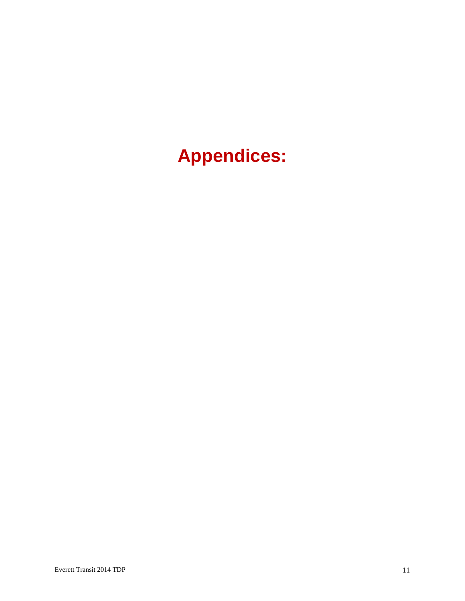# **Appendices:**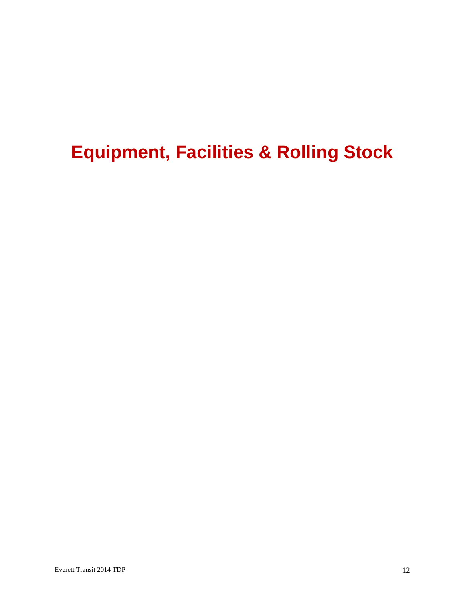# **Equipment, Facilities & Rolling Stock**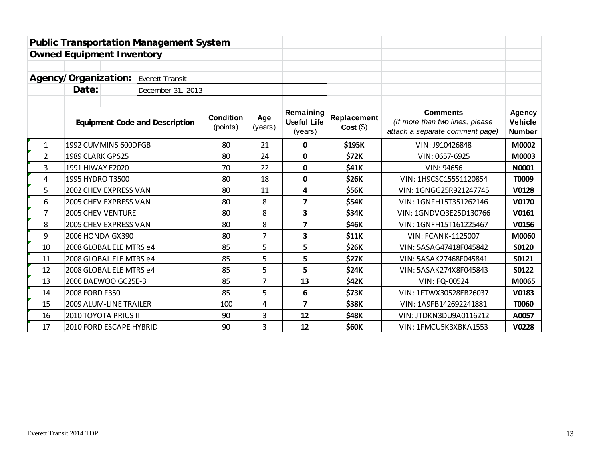|                            |                                  |  | <b>Public Transportation Management System</b> |                              |                |                                            |                           |                                                                                       |                                           |
|----------------------------|----------------------------------|--|------------------------------------------------|------------------------------|----------------|--------------------------------------------|---------------------------|---------------------------------------------------------------------------------------|-------------------------------------------|
|                            | <b>Owned Equipment Inventory</b> |  |                                                |                              |                |                                            |                           |                                                                                       |                                           |
|                            |                                  |  |                                                |                              |                |                                            |                           |                                                                                       |                                           |
|                            | Agency/Organization:             |  | Everett Transit                                |                              |                |                                            |                           |                                                                                       |                                           |
| Date:<br>December 31, 2013 |                                  |  |                                                |                              |                |                                            |                           |                                                                                       |                                           |
|                            |                                  |  | <b>Equipment Code and Description</b>          | <b>Condition</b><br>(points) | Age<br>(years) | Remaining<br><b>Useful Life</b><br>(years) | Replacement<br>Cost( \$ ) | <b>Comments</b><br>(If more than two lines, please<br>attach a separate comment page) | Agency<br><b>Vehicle</b><br><b>Number</b> |
| 1                          | 1992 CUMMINS 600DFGB             |  |                                                | 80                           | 21             | 0                                          | \$195K                    | VIN: J910426848                                                                       | M0002                                     |
| 2                          | 1989 CLARK GPS25                 |  |                                                | 80                           | 24             | $\mathbf{0}$                               | \$72K                     | VIN: 0657-6925                                                                        | M0003                                     |
| 3                          | 1991 HIWAY E2020                 |  |                                                | 70                           | 22             | $\mathbf 0$                                | \$41K                     | VIN: 94656                                                                            | N0001                                     |
| 4                          | 1995 HYDRO T3500                 |  |                                                | 80                           | 18             | $\mathbf 0$                                | <b>\$26K</b>              | VIN: 1H9CSC155S1120854                                                                | T0009                                     |
| 5                          | 2002 CHEV EXPRESS VAN            |  |                                                | 80                           | 11             | 4                                          | \$56K                     | VIN: 1GNGG25R921247745                                                                | V0128                                     |
| 6                          | 2005 CHEV EXPRESS VAN            |  |                                                | 80                           | 8              | $\overline{7}$                             | \$54K                     | VIN: 1GNFH15T351262146                                                                | V0170                                     |
| 7                          | 2005 CHEV VENTURE                |  |                                                | 80                           | 8              | 3                                          | <b>\$34K</b>              | VIN: 1GNDVQ3E25D130766                                                                | V0161                                     |
| 8                          | 2005 CHEV EXPRESS VAN            |  |                                                | 80                           | 8              | $\overline{\mathbf{z}}$                    | \$46K                     | VIN: 1GNFH15T161225467                                                                | V0156                                     |
| 9                          | 2006 HONDA GX390                 |  |                                                | 80                           | $\overline{7}$ | 3                                          | \$11K                     | <b>VIN: FCANK-1125007</b>                                                             | M0060                                     |
| 10                         | 2008 GLOBAL ELE MTRS e4          |  |                                                | 85                           | 5              | 5                                          | \$26K                     | VIN: 5ASAG47418F045842                                                                | S0120                                     |
| 11                         | 2008 GLOBAL ELE MTRS e4          |  |                                                | 85                           | 5              | 5                                          | <b>\$27K</b>              | VIN: 5ASAK27468F045841                                                                | S0121                                     |
| 12                         | 2008 GLOBAL ELE MTRS e4          |  |                                                | 85                           | 5              | 5                                          | <b>\$24K</b>              | VIN: 5ASAK274X8F045843                                                                | S0122                                     |
| 13                         | 2006 DAEWOO GC25E-3              |  |                                                | 85                           | 7              | 13                                         | \$42K                     | VIN: FQ-00524                                                                         | M0065                                     |
| 14                         | 2008 FORD F350                   |  |                                                | 85                           | 5              | 6                                          | \$73K                     | VIN: 1FTWX30528EB26037                                                                | V0183                                     |
| 15                         | 2009 ALUM-LINE TRAILER           |  |                                                | 100                          | 4              | $\overline{\mathbf{z}}$                    | \$38K                     | VIN: 1A9FB142692241881                                                                | T0060                                     |
| 2010 TOYOTA PRIUS II<br>16 |                                  |  | 90                                             | 3                            | 12             | \$48K                                      | VIN: JTDKN3DU9A0116212    | A0057                                                                                 |                                           |
| 17                         | 2010 FORD ESCAPE HYBRID          |  |                                                | 90                           | 3              | 12                                         | \$60K                     | VIN: 1FMCU5K3XBKA1553                                                                 | <b>V0228</b>                              |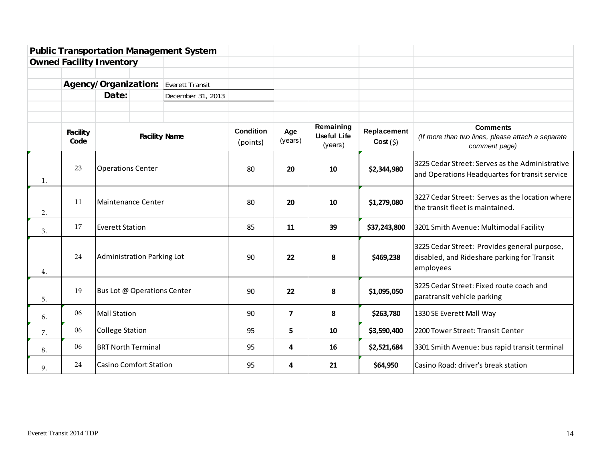|                      |                                                                                                                                                                                   |                             |                      | Everett Transit              |                |                                            |                        |                                                                                       |                                                                                                          |
|----------------------|-----------------------------------------------------------------------------------------------------------------------------------------------------------------------------------|-----------------------------|----------------------|------------------------------|----------------|--------------------------------------------|------------------------|---------------------------------------------------------------------------------------|----------------------------------------------------------------------------------------------------------|
|                      | <b>Public Transportation Management System</b><br><b>Owned Facility Inventory</b><br>Agency/Organization:<br>Date:<br><b>Facility</b><br>Code<br>23<br>11<br>17<br>24<br>19<br>06 |                             |                      | December 31, 2013            |                |                                            |                        |                                                                                       |                                                                                                          |
| 1.<br>2.<br>3.<br>4. |                                                                                                                                                                                   |                             |                      |                              |                |                                            |                        |                                                                                       |                                                                                                          |
|                      |                                                                                                                                                                                   |                             |                      |                              |                |                                            |                        |                                                                                       |                                                                                                          |
|                      |                                                                                                                                                                                   |                             | <b>Facility Name</b> | <b>Condition</b><br>(points) | Age<br>(years) | Remaining<br><b>Useful Life</b><br>(years) | Replacement<br>Cost(5) | <b>Comments</b><br>(If more than two lines, please attach a separate<br>comment page) |                                                                                                          |
|                      |                                                                                                                                                                                   | <b>Operations Center</b>    |                      |                              | 80             | 20                                         | 10                     | \$2,344,980                                                                           | 3225 Cedar Street: Serves as the Administrative<br>and Operations Headquartes for transit service        |
|                      |                                                                                                                                                                                   | Maintenance Center          |                      |                              | 80             | 20                                         | 10                     | \$1,279,080                                                                           | 3227 Cedar Street: Serves as the location where<br>the transit fleet is maintained.                      |
|                      |                                                                                                                                                                                   | <b>Everett Station</b>      |                      |                              | 85             | 11                                         | 39                     | \$37,243,800                                                                          | 3201 Smith Avenue: Multimodal Facility                                                                   |
|                      |                                                                                                                                                                                   | Administration Parking Lot  |                      |                              | 90             | 22                                         | 8                      | \$469,238                                                                             | 3225 Cedar Street: Provides general purpose,<br>disabled, and Rideshare parking for Transit<br>employees |
| 5.                   |                                                                                                                                                                                   | Bus Lot @ Operations Center |                      |                              | 90             | 22                                         | 8                      | \$1,095,050                                                                           | 3225 Cedar Street: Fixed route coach and<br>paratransit vehicle parking                                  |
| 6.                   |                                                                                                                                                                                   | Mall Station                |                      |                              | 90             | $\overline{7}$                             | 8                      | \$263,780                                                                             | 1330 SE Everett Mall Way                                                                                 |
| 7.                   | 06                                                                                                                                                                                | College Station             |                      |                              | 95             | 5                                          | 10                     | \$3,590,400                                                                           | 2200 Tower Street: Transit Center                                                                        |
| 8.                   | 06                                                                                                                                                                                | <b>BRT North Terminal</b>   |                      |                              | 95             | 4                                          | 16                     | \$2,521,684                                                                           | 3301 Smith Avenue: bus rapid transit terminal                                                            |
| 9.                   | 24                                                                                                                                                                                | Casino Comfort Station      |                      |                              | 95             | 4                                          | 21                     | \$64,950                                                                              | Casino Road: driver's break station                                                                      |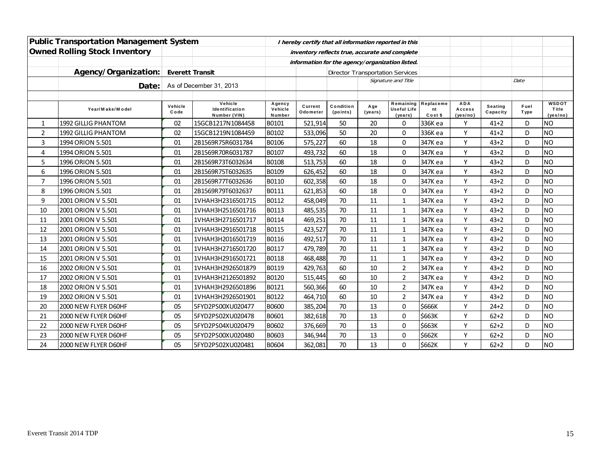|                | <b>Public Transportation Management System</b> |                         |                                           |                                                | I hereby certify that all information reported in this |                       |                     |                                            |                            |                                  |                            |                     |                                   |
|----------------|------------------------------------------------|-------------------------|-------------------------------------------|------------------------------------------------|--------------------------------------------------------|-----------------------|---------------------|--------------------------------------------|----------------------------|----------------------------------|----------------------------|---------------------|-----------------------------------|
|                | <b>Owned Rolling Stock Inventory</b>           |                         |                                           | inventory reflects true, accurate and complete |                                                        |                       |                     |                                            |                            |                                  |                            |                     |                                   |
|                |                                                |                         |                                           |                                                | information for the agency/organization listed.        |                       |                     |                                            |                            |                                  |                            |                     |                                   |
|                | Agency/Organization:                           | <b>Everett Transit</b>  |                                           |                                                |                                                        |                       |                     | <b>Director Transportation Services</b>    |                            |                                  |                            |                     |                                   |
|                | Date:                                          | As of December 31, 2013 |                                           |                                                |                                                        |                       | Signature and Title |                                            |                            |                                  | Date                       |                     |                                   |
|                |                                                |                         |                                           |                                                |                                                        |                       |                     |                                            |                            |                                  |                            |                     |                                   |
|                | Year/Make/Model                                | Vehicle<br>Code         | Vehicle<br>Identification<br>Number (VIN) | Agency<br>Vehicle<br>Number                    | Current<br>Odometer                                    | Condition<br>(points) | A ge<br>(years)     | Remaining<br><b>Useful Life</b><br>(years) | Replaceme<br>nt<br>Cost \$ | <b>ADA</b><br>Access<br>(yes/no) | <b>Seating</b><br>Capacity | Fuel<br><b>Type</b> | <b>WSDOT</b><br>Title<br>(yes/no) |
| $\mathbf{1}$   | 1992 GILLIG PHANTOM                            | 02                      | 15GCB1217N1084458                         | B0101                                          | 521,914                                                | 50                    | 20                  | $\mathbf 0$                                | 336K ea                    | Υ                                | $41 + 2$                   | D                   | INO                               |
| $\overline{2}$ | <b>1992 GILLIG PHANTOM</b>                     | 02                      | 15GCB1219N1084459                         | B0102                                          | 533,096                                                | 50                    | 20                  | $\mathbf 0$                                | 336K ea                    | Υ                                | $41 + 2$                   | D                   | <b>NO</b>                         |
| 3              | 1994 ORION 5.501                               | 01                      | 2B1569R75R6031784                         | B0106                                          | 575,227                                                | 60                    | 18                  | $\Omega$                                   | 347K ea                    | Y                                | $43 + 2$                   | D                   | <b>NO</b>                         |
| 4              | 1994 ORION 5.501                               | 01                      | 2B1569R70R6031787                         | B0107                                          | 493,732                                                | 60                    | 18                  | $\Omega$                                   | 347K ea                    | Y                                | $43 + 2$                   | D                   | <b>NO</b>                         |
| 5              | 1996 ORION 5.501                               | 01                      | 2B1569R73T6032634                         | B0108                                          | 513,753                                                | 60                    | 18                  | $\mathbf 0$                                | 347K ea                    | Y                                | $43 + 2$                   | D                   | <b>NO</b>                         |
| 6              | 1996 ORION 5.501                               | 01                      | 2B1569R75T6032635                         | B0109                                          | 626,452                                                | 60                    | 18                  | $\mathbf 0$                                | 347K ea                    | Y                                | $43 + 2$                   | D                   | <b>NO</b>                         |
| $\overline{7}$ | 1996 ORION 5.501                               | 01                      | 2B1569R77T6032636                         | B0110                                          | 602,358                                                | 60                    | 18                  | $\Omega$                                   | 347K ea                    | Y                                | $43 + 2$                   | D                   | <b>NO</b>                         |
| 8              | 1996 ORION 5.501                               | 01                      | 2B1569R79T6032637                         | B0111                                          | 621,853                                                | 60                    | 18                  | $\Omega$                                   | 347K ea                    | Y                                | $43 + 2$                   | D                   | <b>NO</b>                         |
| 9              | 2001 ORION V 5.501                             | 01                      | 1VHAH3H2316501715                         | B0112                                          | 458,049                                                | 70                    | 11                  | $\mathbf{1}$                               | 347K ea                    | Y                                | $43 + 2$                   | D                   | <b>NO</b>                         |
| 10             | 2001 ORION V 5.501                             | 01                      | 1VHAH3H2516501716                         | B0113                                          | 485,535                                                | 70                    | 11                  | $\mathbf{1}$                               | 347K ea                    | Y                                | $43 + 2$                   | D                   | <b>NO</b>                         |
| 11             | 2001 ORION V 5.501                             | 01                      | 1VHAH3H2716501717                         | B0114                                          | 469,251                                                | 70                    | 11                  | $\mathbf{1}$                               | 347K ea                    | Υ                                | $43 + 2$                   | D                   | <b>NO</b>                         |
| 12             | 2001 ORION V 5.501                             | 01                      | 1VHAH3H2916501718                         | B0115                                          | 423,527                                                | 70                    | 11                  | $\mathbf{1}$                               | 347K ea                    | Υ                                | $43 + 2$                   | D                   | <b>NO</b>                         |
| 13             | 2001 ORION V 5.501                             | 01                      | 1VHAH3H2016501719                         | B0116                                          | 492,517                                                | 70                    | 11                  | $\mathbf{1}$                               | 347K ea                    | Y                                | $43 + 2$                   | D                   | <b>NO</b>                         |
| 14             | 2001 ORION V 5.501                             | 01                      | 1VHAH3H2716501720                         | B0117                                          | 479,789                                                | 70                    | 11                  | $\mathbf{1}$                               | 347K ea                    | Y                                | $43 + 2$                   | D                   | <b>NO</b>                         |
| 15             | 2001 ORION V 5.501                             | 01                      | 1VHAH3H2916501721                         | B0118                                          | 468,488                                                | 70                    | 11                  | $\mathbf{1}$                               | 347K ea                    | Y                                | $43 + 2$                   | D                   | <b>NO</b>                         |
| 16             | 2002 ORION V 5.501                             | 01                      | 1VHAH3H2926501879                         | B0119                                          | 429,763                                                | 60                    | 10                  | $\overline{2}$                             | 347K ea                    | Y                                | $43 + 2$                   | D                   | <b>NO</b>                         |
| 17             | 2002 ORION V 5.501                             | 01                      | 1VHAH3H2126501892                         | B0120                                          | 515,445                                                | 60                    | 10                  | $\overline{2}$                             | 347K ea                    | Y                                | $43 + 2$                   | D                   | <b>NO</b>                         |
| 18             | 2002 ORION V 5.501                             | 01                      | 1VHAH3H2926501896                         | B0121                                          | 560,366                                                | 60                    | 10                  | $\overline{2}$                             | 347K ea                    | Y                                | $43 + 2$                   | D                   | <b>NO</b>                         |
| 19             | 2002 ORION V 5.501                             | 01                      | 1VHAH3H2926501901                         | B0122                                          | 464,710                                                | 60                    | 10                  | $\overline{2}$                             | 347K ea                    | Y                                | $43 + 2$                   | D                   | <b>NO</b>                         |
| 20             | 2000 NEW FLYER D60HF                           | 05                      | 5FYD2PS00XU020477                         | B0600                                          | 385,204                                                | 70                    | 13                  | 0                                          | \$666K                     | Y                                | $24 + 2$                   | D                   | <b>NO</b>                         |
| 21             | 2000 NEW FLYER D60HF                           | 05                      | 5FYD2PS02XU020478                         | B0601                                          | 382,618                                                | 70                    | 13                  | $\mathbf 0$                                | \$663K                     | Y                                | $62 + 2$                   | D                   | <b>NO</b>                         |
| 22             | 2000 NEW FLYER D60HF                           | 05                      | 5FYD2PS04XU020479                         | B0602                                          | 376,669                                                | 70                    | 13                  | $\mathbf 0$                                | \$663K                     | Υ                                | $62 + 2$                   | D                   | <b>NO</b>                         |
| 23             | 2000 NEW FLYER D60HF                           | 05                      | 5FYD2PS00XU020480                         | B0603                                          | 346,944                                                | 70                    | 13                  | $\mathbf 0$                                | \$662K                     | Y                                | $62 + 2$                   | D                   | <b>NO</b>                         |
| 24             | 2000 NEW FLYER D60HF                           | 05                      | 5FYD2PS02XU020481                         | B0604                                          | 362,081                                                | 70                    | 13                  | $\overline{0}$                             | \$662K                     | Y                                | $62 + 2$                   | D                   | <b>NO</b>                         |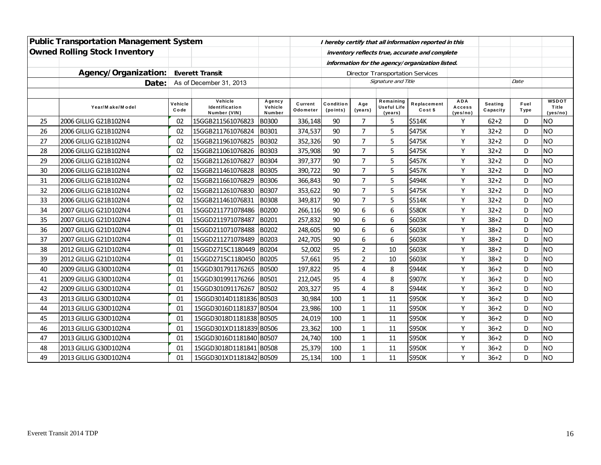|    | <b>Public Transportation Management System</b> |                 |                                           |                             |                     |                       |                 |                                                 | I hereby certify that all information reported in this |                                  |                            |                     |                                   |
|----|------------------------------------------------|-----------------|-------------------------------------------|-----------------------------|---------------------|-----------------------|-----------------|-------------------------------------------------|--------------------------------------------------------|----------------------------------|----------------------------|---------------------|-----------------------------------|
|    | <b>Owned Rolling Stock Inventory</b>           |                 |                                           |                             |                     |                       |                 |                                                 | inventory reflects true, accurate and complete         |                                  |                            |                     |                                   |
|    |                                                |                 |                                           |                             |                     |                       |                 | information for the agency/organization listed. |                                                        |                                  |                            |                     |                                   |
|    | Agency/Organization:                           |                 | <b>Everett Transit</b>                    |                             |                     |                       |                 | <b>Director Transportation Services</b>         |                                                        |                                  |                            |                     |                                   |
|    | Date:<br>As of December 31, 2013               |                 |                                           |                             |                     |                       |                 | Signature and Title                             |                                                        |                                  |                            | Date                |                                   |
|    |                                                |                 |                                           |                             |                     |                       |                 |                                                 |                                                        |                                  |                            |                     |                                   |
|    | Year/Make/Model                                | Vehicle<br>Code | Vehicle<br>Identification<br>Number (VIN) | Agency<br>Vehicle<br>Number | Current<br>Odometer | Condition<br>(points) | A ge<br>(years) | Remaining<br><b>Useful Life</b><br>(years)      | Replacement<br>Cost \$                                 | <b>ADA</b><br>Access<br>(yes/no) | <b>Seating</b><br>Capacity | Fuel<br><b>Type</b> | <b>WSDOT</b><br>Title<br>(yes/no) |
| 25 | 2006 GILLIG G21B102N4                          | 02              | 15GGB211561076823                         | B0300                       | 336,148             | 90                    | $\overline{7}$  | 5                                               | \$514K                                                 | Y                                | $62 + 2$                   | D                   | <b>NO</b>                         |
| 26 | 2006 GILLIG G21B102N4                          | 02              | 15GGB211761076824                         | B0301                       | 374,537             | 90                    | 7               | 5                                               | \$475K                                                 | Y                                | $32 + 2$                   | D                   | <b>NO</b>                         |
| 27 | 2006 GILLIG G21B102N4                          | 02              | 15GGB211961076825                         | B0302                       | 352,326             | 90                    | $\overline{7}$  | 5                                               | \$475K                                                 | Y                                | $32 + 2$                   | D                   | <b>NO</b>                         |
| 28 | 2006 GILLIG G21B102N4                          | 02              | 15GGB211061076826                         | B0303                       | 375,908             | 90                    | 7               | 5                                               | \$475K                                                 | Y                                | $32 + 2$                   | D                   | <b>NO</b>                         |
| 29 | 2006 GILLIG G21B102N4                          | 02              | 15GGB211261076827                         | B0304                       | 397,377             | 90                    | $\overline{7}$  | 5                                               | \$457K                                                 | Y                                | $32 + 2$                   | D                   | <b>NO</b>                         |
| 30 | 2006 GILLIG G21B102N4                          | 02              | 15GGB211461076828                         | B0305                       | 390,722             | 90                    | 7               | 5                                               | \$457K                                                 | Y                                | $32 + 2$                   | D                   | <b>NO</b>                         |
| 31 | 2006 GILLIG G21B102N4                          | 02              | 15GGB211661076829                         | B0306                       | 366,843             | 90                    | $\overline{7}$  | 5                                               | \$494K                                                 | Y                                | $32 + 2$                   | D                   | <b>NO</b>                         |
| 32 | 2006 GILLIG G21B102N4                          | 02              | 15GGB211261076830                         | B0307                       | 353,622             | 90                    | $\overline{7}$  | 5                                               | \$475K                                                 | Y                                | $32 + 2$                   | D                   | <b>NO</b>                         |
| 33 | 2006 GILLIG G21B102N4                          | 02              | 15GGB211461076831                         | B0308                       | 349,817             | 90                    | $\overline{7}$  | 5                                               | \$514K                                                 | Y                                | $32 + 2$                   | D                   | <b>NO</b>                         |
| 34 | 2007 GILLIG G21D102N4                          | 01              | 15GGD211771078486                         | B0200                       | 266,116             | 90                    | 6               | 6                                               | \$580K                                                 | Y                                | $32 + 2$                   | D                   | <b>NO</b>                         |
| 35 | 2007 GILLIG G21D102N4                          | 01              | 15GGD211971078487                         | B0201                       | 257,832             | 90                    | 6               | 6                                               | \$603K                                                 | Y                                | $38 + 2$                   | D                   | <b>NO</b>                         |
| 36 | 2007 GILLIG G21D102N4                          | 01              | 15GGD211071078488                         | B0202                       | 248,605             | 90                    | 6               | 6                                               | \$603K                                                 | Y                                | $38 + 2$                   | D                   | <b>NO</b>                         |
| 37 | 2007 GILLIG G21D102N4                          | 01              | 15GGD211271078489                         | B0203                       | 242,705             | 90                    | 6               | 6                                               | \$603K                                                 | Y                                | $38 + 2$                   | D                   | <b>NO</b>                         |
| 38 | 2012 GILLIG G21D102N4                          | 01              | 15GGD2715C1180449                         | <b>B0204</b>                | 52,002              | 95                    | $\overline{2}$  | 10                                              | \$603K                                                 | Y                                | $38 + 2$                   | D                   | <b>NO</b>                         |
| 39 | 2012 GILLIG G21D102N4                          | 01              | 15GGD2715C1180450                         | <b>B0205</b>                | 57,661              | 95                    | $\overline{2}$  | 10                                              | \$603K                                                 | Y                                | $38 + 2$                   | D                   | <b>NO</b>                         |
| 40 | 2009 GILLIG G30D102N4                          | 01              | 15GGD301791176265                         | <b>B0500</b>                | 197,822             | 95                    | 4               | 8                                               | \$944K                                                 | Y                                | $36 + 2$                   | D                   | <b>NO</b>                         |
| 41 | 2009 GILLIG G30D102N4                          | 01              | 15GGD301991176266                         | B0501                       | 212,045             | 95                    | 4               | 8                                               | \$907K                                                 | Y                                | $36 + 2$                   | D                   | <b>NO</b>                         |
| 42 | 2009 GILLIG G30D102N4                          | 01              | 15GGD301091176267                         | B0502                       | 203,327             | 95                    | 4               | 8                                               | \$944K                                                 | Y                                | $36 + 2$                   | D                   | <b>NO</b>                         |
| 43 | 2013 GILLIG G30D102N4                          | 01              | 15GGD3014D1181836 B0503                   |                             | 30,984              | 100                   | 1               | 11                                              | \$950K                                                 | Y                                | $36 + 2$                   | D                   | <b>NO</b>                         |
| 44 | 2013 GILLIG G30D102N4                          | 01              | 15GGD3016D1181837 B0504                   |                             | 23,986              | 100                   | 1               | 11                                              | \$950K                                                 | Y                                | $36 + 2$                   | D                   | <b>NO</b>                         |
| 45 | 2013 GILLIG G30D102N4                          | 01              | 15GGD3018D1181838 B0505                   |                             | 24,019              | 100                   | $\mathbf{1}$    | 11                                              | \$950K                                                 | Y                                | $36 + 2$                   | D                   | <b>NO</b>                         |
| 46 | 2013 GILLIG G30D102N4                          | 01              | 15GGD301XD1181839 B0506                   |                             | 23,362              | 100                   | $\mathbf{1}$    | 11                                              | \$950K                                                 | Y                                | $36 + 2$                   | D                   | <b>NO</b>                         |
| 47 | 2013 GILLIG G30D102N4                          | 01              | 15GGD3016D1181840 B0507                   |                             | 24,740              | 100                   | 1               | 11                                              | \$950K                                                 | Y                                | $36 + 2$                   | D                   | <b>NO</b>                         |
| 48 | 2013 GILLIG G30D102N4                          | 01              | 15GGD3018D1181841 B0508                   |                             | 25,379              | 100                   | $\mathbf{1}$    | 11                                              | \$950K                                                 | Y                                | $36 + 2$                   | D                   | <b>NO</b>                         |
| 49 | 2013 GILLIG G30D102N4                          | 01              | 15GGD301XD1181842 B0509                   |                             | 25,134              | 100                   | 1               | 11                                              | \$950K                                                 | Y                                | $36 + 2$                   | D                   | <b>NO</b>                         |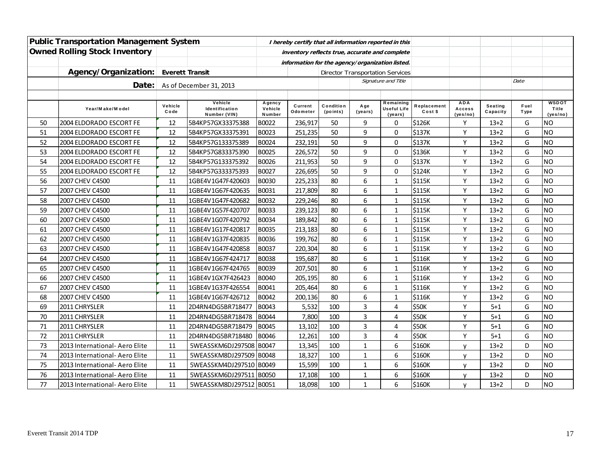|    | <b>Public Transportation Management System</b> |                        |                                           |                             |                     |                                                 |                | I hereby certify that all information reported in this |                        |                                  |                     |              |                                   |
|----|------------------------------------------------|------------------------|-------------------------------------------|-----------------------------|---------------------|-------------------------------------------------|----------------|--------------------------------------------------------|------------------------|----------------------------------|---------------------|--------------|-----------------------------------|
|    | <b>Owned Rolling Stock Inventory</b>           |                        |                                           |                             |                     | inventory reflects true, accurate and complete  |                |                                                        |                        |                                  |                     |              |                                   |
|    |                                                |                        |                                           |                             |                     | information for the agency/organization listed. |                |                                                        |                        |                                  |                     |              |                                   |
|    | Agency/Organization:                           | <b>Everett Transit</b> |                                           |                             |                     |                                                 |                | <b>Director Transportation Services</b>                |                        |                                  |                     |              |                                   |
|    | Date:                                          |                        | As of December 31, 2013                   |                             |                     |                                                 |                | Signature and Title                                    |                        |                                  |                     | Date         |                                   |
|    |                                                |                        |                                           |                             |                     |                                                 |                |                                                        |                        |                                  |                     |              |                                   |
|    | Year/Make/Model                                | Vehicle<br>Code        | Vehicle<br>Identification<br>Number (VIN) | Agency<br>Vehicle<br>Number | Current<br>Odometer | Condition<br>(points)                           | Age<br>(years) | Remaining<br>Useful Life<br>(years)                    | Replacement<br>Cost \$ | <b>ADA</b><br>Access<br>(yes/no) | Seating<br>Capacity | Fuel<br>Type | <b>WSDOT</b><br>Title<br>(yes/no) |
| 50 | 2004 ELDORADO ESCORT FE                        | 12                     | 5B4KP57GX33375388                         | B0022                       | 236,917             | 50                                              | 9              | 0                                                      | \$126K                 | Y                                | $13+2$              | G            | NO                                |
| 51 | 2004 ELDORADO ESCORT FE                        | 12                     | 5B4KP57GX33375391                         | B0023                       | 251,235             | 50                                              | 9              | $\mathbf 0$                                            | \$137K                 | Y                                | $13+2$              | G            | <b>NO</b>                         |
| 52 | 2004 ELDORADO ESCORT FE                        | 12                     | 5B4KP57G133375389                         | <b>B0024</b>                | 232,191             | 50                                              | 9              | $\pmb{0}$                                              | \$137K                 | Y                                | $13 + 2$            | G            | <b>NO</b>                         |
| 53 | 2004 ELDORADO ESCORT FE                        | 12                     | 5B4KP57G833375390                         | <b>B0025</b>                | 226,572             | 50                                              | 9              | $\pmb{0}$                                              | \$136K                 | Y                                | $13+2$              | G            | <b>NO</b>                         |
| 54 | 2004 ELDORADO ESCORT FE                        | 12                     | 5B4KP57G133375392                         | B0026                       | 211,953             | 50                                              | 9              | $\mathbf 0$                                            | \$137K                 | Y                                | $13 + 2$            | G            | <b>NO</b>                         |
| 55 | 2004 ELDORADO ESCORT FE                        | 12                     | 5B4KP57G333375393                         | B0027                       | 226,695             | 50                                              | 9              | $\pmb{0}$                                              | \$124K                 | Y                                | $13 + 2$            | G            | <b>NO</b>                         |
| 56 | 2007 CHEV C4500                                | 11                     | 1GBE4V1G47F420603                         | B0030                       | 225,233             | 80                                              | 6              | $\mathbf{1}$                                           | \$115K                 | Y                                | $13+2$              | G            | <b>NO</b>                         |
| 57 | 2007 CHEV C4500                                | 11                     | 1GBE4V1G67F420635                         | B0031                       | 217,809             | 80                                              | 6              | $\mathbf{1}$                                           | \$115K                 | Y                                | $13+2$              | G            | <b>NO</b>                         |
| 58 | 2007 CHEV C4500                                | 11                     | 1GBE4V1G47F420682                         | <b>B0032</b>                | 229,246             | 80                                              | 6              | $\mathbf{1}$                                           | \$115K                 | Y                                | $13 + 2$            | G            | <b>NO</b>                         |
| 59 | 2007 CHEV C4500                                | 11                     | 1GBE4V1G57F420707                         | <b>B0033</b>                | 239,123             | 80                                              | 6              | $\mathbf{1}$                                           | \$115K                 | Y                                | $13+2$              | G            | <b>NO</b>                         |
| 60 | 2007 CHEV C4500                                | 11                     | 1GBE4V1G07F420792                         | <b>B0034</b>                | 189,842             | 80                                              | 6              | $\mathbf{1}$                                           | \$115K                 | Y                                | $13 + 2$            | G            | <b>NO</b>                         |
| 61 | 2007 CHEV C4500                                | 11                     | 1GBE4V1G17F420817                         | <b>B0035</b>                | 213,183             | 80                                              | 6              | $\mathbf{1}$                                           | \$115K                 | Y                                | $13 + 2$            | G            | <b>NO</b>                         |
| 62 | 2007 CHEV C4500                                | 11                     | 1GBE4V1G37F420835                         | <b>B0036</b>                | 199,762             | 80                                              | 6              | $1\,$                                                  | \$115K                 | Υ                                | $13 + 2$            | G            | <b>NO</b>                         |
| 63 | 2007 CHEV C4500                                | 11                     | 1GBE4V1G47F420858                         | <b>B0037</b>                | 220,304             | 80                                              | 6              | $\mathbf{1}$                                           | \$115K                 | Y                                | $13 + 2$            | G            | <b>NO</b>                         |
| 64 | 2007 CHEV C4500                                | 11                     | 1GBE4V1G67F424717                         | <b>B0038</b>                | 195,687             | 80                                              | 6              | $\mathbf{1}$                                           | \$116K                 | Y                                | $13 + 2$            | G            | <b>NO</b>                         |
| 65 | 2007 CHEV C4500                                | 11                     | 1GBE4V1G67F424765                         | B0039                       | 207,501             | 80                                              | 6              | $\mathbf 1$                                            | \$116K                 | Υ                                | $13 + 2$            | G            | <b>NO</b>                         |
| 66 | 2007 CHEV C4500                                | 11                     | 1GBE4V1GX7F426423                         | B0040                       | 205,195             | 80                                              | 6              | $\mathbf{1}$                                           | \$116K                 | Y                                | $13+2$              | G            | <b>NO</b>                         |
| 67 | 2007 CHEV C4500                                | 11                     | 1GBE4V1G37F426554                         | B0041                       | 205,464             | 80                                              | 6              | $\mathbf{1}$                                           | \$116K                 | Y                                | $13 + 2$            | G            | <b>NO</b>                         |
| 68 | 2007 CHEV C4500                                | 11                     | 1GBE4V1G67F426712                         | <b>B0042</b>                | 200,136             | 80                                              | 6              | $\mathbf{1}$                                           | \$116K                 | Υ                                | $13 + 2$            | G            | <b>NO</b>                         |
| 69 | 2011 CHRYSLER                                  | 11                     | 2D4RN4DG5BR718477                         | B0043                       | 5,532               | 100                                             | 3              | 4                                                      | \$50K                  | Y                                | $5 + 1$             | G            | <b>NO</b>                         |
| 70 | 2011 CHRYSLER                                  | 11                     | 2D4RN4DG5BR718478                         | <b>B0044</b>                | 7,800               | 100                                             | 3              | 4                                                      | \$50K                  | Y                                | $5 + 1$             | G            | <b>NO</b>                         |
| 71 | 2011 CHRYSLER                                  | 11                     | 2D4RN4DG5BR718479                         | <b>B0045</b>                | 13,102              | 100                                             | 3              | $\overline{4}$                                         | \$50K                  | Υ                                | $5 + 1$             | G            | <b>NO</b>                         |
| 72 | 2011 CHRYSLER                                  | 11                     | 2D4RN4DG5BR718480                         | B0046                       | 12,261              | 100                                             | 3              | 4                                                      | \$50K                  | Υ                                | $5 + 1$             | G            | <b>NO</b>                         |
| 73 | 2013 International- Aero Elite                 | 11                     | 5WEASSKM6DJ297508 B0047                   |                             | 13,345              | 100                                             | $\mathbf{1}$   | 6                                                      | \$160K                 | v                                | $13 + 2$            | D            | <b>NO</b>                         |
| 74 | 2013 International- Aero Elite                 | 11                     | 5WEASSKM8DJ297509 B0048                   |                             | 18,327              | 100                                             | $\mathbf{1}$   | 6                                                      | \$160K                 | y                                | $13 + 2$            | D            | <b>NO</b>                         |
| 75 | 2013 International- Aero Elite                 | 11                     | 5WEASSKM4DJ297510 B0049                   |                             | 15,599              | 100                                             | $\mathbf{1}$   | 6                                                      | \$160K                 | y                                | $13 + 2$            | D            | <b>NO</b>                         |
| 76 | 2013 International- Aero Elite                 | 11                     | 5WEASSKM6DJ297511 B0050                   |                             | 17,108              | 100                                             | $\mathbf{1}$   | $\boldsymbol{6}$                                       | \$160K                 | y                                | $13+2$              | D            | <b>NO</b>                         |
| 77 | 2013 International- Aero Elite                 | 11                     | 5WEASSKM8DJ297512 B0051                   |                             | 18,098              | 100                                             | $\mathbf{1}$   | 6                                                      | \$160K                 | v                                | $13 + 2$            | D            | <b>NO</b>                         |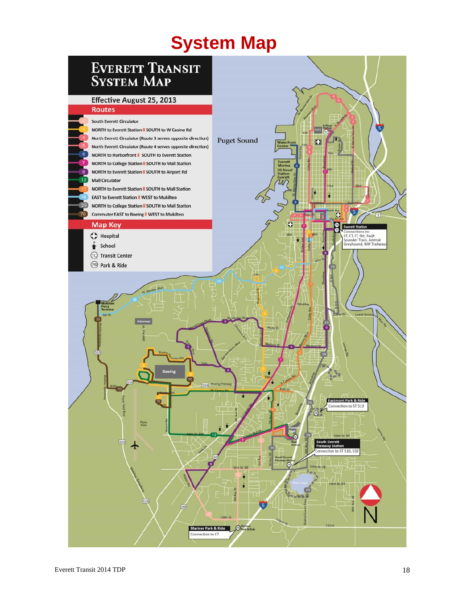# **System Map**

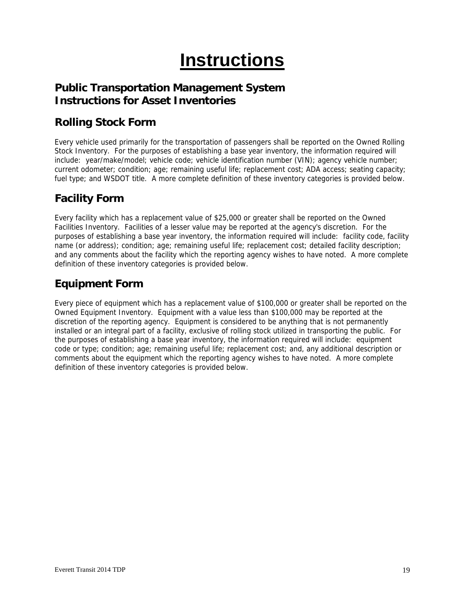# **Instructions**

### **Public Transportation Management System Instructions for Asset Inventories**

### **Rolling Stock Form**

Every vehicle used primarily for the transportation of passengers shall be reported on the Owned Rolling Stock Inventory. For the purposes of establishing a base year inventory, the information required will include: year/make/model; vehicle code; vehicle identification number (VIN); agency vehicle number; current odometer; condition; age; remaining useful life; replacement cost; ADA access; seating capacity; fuel type; and WSDOT title. A more complete definition of these inventory categories is provided below.

### **Facility Form**

Every facility which has a replacement value of \$25,000 or greater shall be reported on the Owned Facilities Inventory. Facilities of a lesser value may be reported at the agency's discretion. For the purposes of establishing a base year inventory, the information required will include: facility code, facility name (or address); condition; age; remaining useful life; replacement cost; detailed facility description; and any comments about the facility which the reporting agency wishes to have noted. A more complete definition of these inventory categories is provided below.

### **Equipment Form**

Every piece of equipment which has a replacement value of \$100,000 or greater shall be reported on the Owned Equipment Inventory. Equipment with a value less than \$100,000 may be reported at the discretion of the reporting agency. Equipment is considered to be anything that is not permanently installed or an integral part of a facility, exclusive of rolling stock utilized in transporting the public. For the purposes of establishing a base year inventory, the information required will include: equipment code or type; condition; age; remaining useful life; replacement cost; and, any additional description or comments about the equipment which the reporting agency wishes to have noted. A more complete definition of these inventory categories is provided below.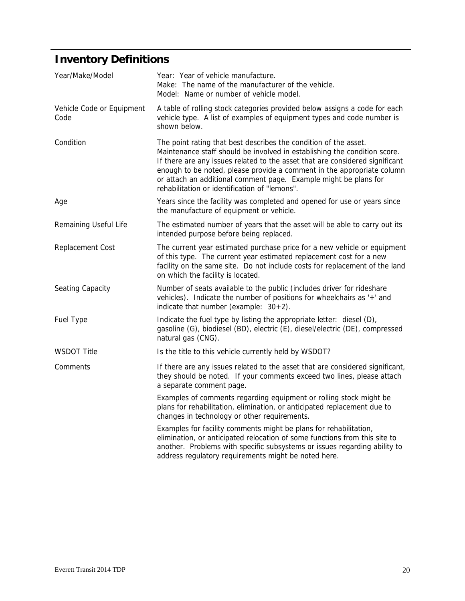# **Inventory Definitions**

| Year/Make/Model                   | Year: Year of vehicle manufacture.<br>Make: The name of the manufacturer of the vehicle.<br>Model: Name or number of vehicle model.                                                                                                                                                                                                                                                                                          |  |
|-----------------------------------|------------------------------------------------------------------------------------------------------------------------------------------------------------------------------------------------------------------------------------------------------------------------------------------------------------------------------------------------------------------------------------------------------------------------------|--|
| Vehicle Code or Equipment<br>Code | A table of rolling stock categories provided below assigns a code for each<br>vehicle type. A list of examples of equipment types and code number is<br>shown below.                                                                                                                                                                                                                                                         |  |
| Condition                         | The point rating that best describes the condition of the asset.<br>Maintenance staff should be involved in establishing the condition score.<br>If there are any issues related to the asset that are considered significant<br>enough to be noted, please provide a comment in the appropriate column<br>or attach an additional comment page. Example might be plans for<br>rehabilitation or identification of "lemons". |  |
| Age                               | Years since the facility was completed and opened for use or years since<br>the manufacture of equipment or vehicle.                                                                                                                                                                                                                                                                                                         |  |
| Remaining Useful Life             | The estimated number of years that the asset will be able to carry out its<br>intended purpose before being replaced.                                                                                                                                                                                                                                                                                                        |  |
| Replacement Cost                  | The current year estimated purchase price for a new vehicle or equipment<br>of this type. The current year estimated replacement cost for a new<br>facility on the same site. Do not include costs for replacement of the land<br>on which the facility is located.                                                                                                                                                          |  |
| Seating Capacity                  | Number of seats available to the public (includes driver for rideshare<br>vehicles). Indicate the number of positions for wheelchairs as '+' and<br>indicate that number (example: $30+2$ ).                                                                                                                                                                                                                                 |  |
| Fuel Type                         | Indicate the fuel type by listing the appropriate letter: diesel (D),<br>gasoline (G), biodiesel (BD), electric (E), diesel/electric (DE), compressed<br>natural gas (CNG).                                                                                                                                                                                                                                                  |  |
| <b>WSDOT Title</b>                | Is the title to this vehicle currently held by WSDOT?                                                                                                                                                                                                                                                                                                                                                                        |  |
| Comments                          | If there are any issues related to the asset that are considered significant,<br>they should be noted. If your comments exceed two lines, please attach<br>a separate comment page.                                                                                                                                                                                                                                          |  |
|                                   | Examples of comments regarding equipment or rolling stock might be<br>plans for rehabilitation, elimination, or anticipated replacement due to<br>changes in technology or other requirements.                                                                                                                                                                                                                               |  |
|                                   | Examples for facility comments might be plans for rehabilitation,<br>elimination, or anticipated relocation of some functions from this site to<br>another. Problems with specific subsystems or issues regarding ability to<br>address regulatory requirements might be noted here.                                                                                                                                         |  |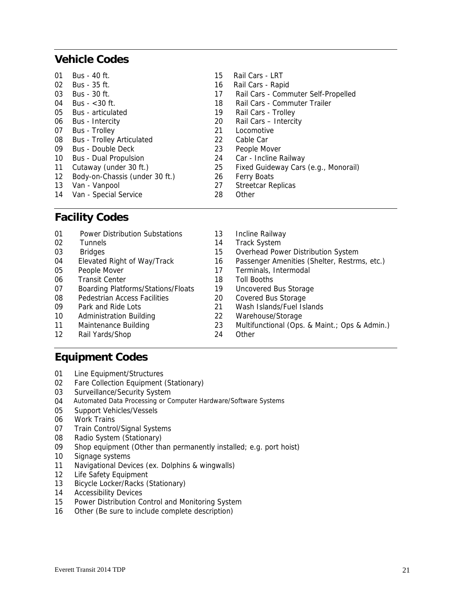### **Vehicle Codes**

| 01 | Bus - 40 ft.                     | 15 | Rail Cars - LRT                      |
|----|----------------------------------|----|--------------------------------------|
| 02 | Bus - 35 ft.                     | 16 | Rail Cars - Rapid                    |
| 03 | Bus - 30 ft.                     | 17 | Rail Cars - Commuter Self-Propelled  |
| 04 | Bus $-$ < 30 ft.                 | 18 | Rail Cars - Commuter Trailer         |
| 05 | <b>Bus</b> - articulated         | 19 | Rail Cars - Trolley                  |
| 06 | Bus - Intercity                  | 20 | Rail Cars - Intercity                |
| 07 | <b>Bus</b> - Trolley             | 21 | Locomotive                           |
| 08 | <b>Bus - Trolley Articulated</b> | 22 | Cable Car                            |
| 09 | Bus - Double Deck                | 23 | People Mover                         |
| 10 | <b>Bus - Dual Propulsion</b>     | 24 | Car - Incline Railway                |
| 11 | Cutaway (under 30 ft.)           | 25 | Fixed Guideway Cars (e.g., Monorail) |
| 12 | Body-on-Chassis (under 30 ft.)   | 26 | <b>Ferry Boats</b>                   |
| 13 | Van - Vanpool                    | 27 | <b>Streetcar Replicas</b>            |
| 14 | Van - Special Service            | 28 | Other                                |

### **Facility Codes**

| 01 | <b>Power Distribution Substations</b>     | 13 | Incline Railway                               |
|----|-------------------------------------------|----|-----------------------------------------------|
| 02 | <b>Tunnels</b>                            | 14 | <b>Track System</b>                           |
| 03 | <b>Bridges</b>                            | 15 | Overhead Power Distribution System            |
| 04 | Elevated Right of Way/Track               | 16 | Passenger Amenities (Shelter, Restrms, etc.)  |
| 05 | People Mover                              | 17 | Terminals, Intermodal                         |
| 06 | <b>Transit Center</b>                     | 18 | Toll Booths                                   |
| 07 | <b>Boarding Platforms/Stations/Floats</b> | 19 | Uncovered Bus Storage                         |
| 08 | Pedestrian Access Facilities              | 20 | <b>Covered Bus Storage</b>                    |
| 09 | Park and Ride Lots                        | 21 | Wash Islands/Fuel Islands                     |
| 10 | <b>Administration Building</b>            | 22 | Warehouse/Storage                             |
| 11 | Maintenance Building                      | 23 | Multifunctional (Ops. & Maint.; Ops & Admin.) |
| 12 | Rail Yards/Shop                           | 24 | Other                                         |

### **Equipment Codes**

- 01 Line Equipment/Structures
- 02 Fare Collection Equipment (Stationary)
- 03 Surveillance/Security System
- 04 Automated Data Processing or Computer Hardware/Software Systems
- 05 Support Vehicles/Vessels
- 06 Work Trains
- 07 Train Control/Signal Systems
- 08 Radio System (Stationary)
- 09 Shop equipment (Other than permanently installed; e.g. port hoist)
- 10 Signage systems
- 11 Navigational Devices (ex. Dolphins & wingwalls)
- 12 Life Safety Equipment
- 13 Bicycle Locker/Racks (Stationary)
- 14 Accessibility Devices
- 15 Power Distribution Control and Monitoring System
- 16 Other (Be sure to include complete description)